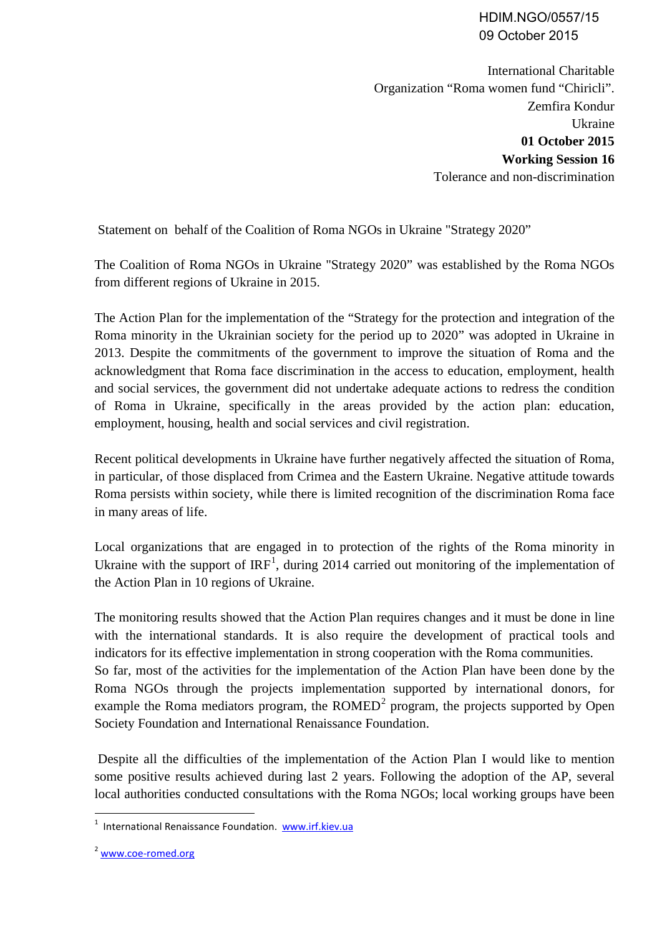## HDIM.NGO/0557/15 09 October 2015

International Charitable Organization "Roma women fund "Chiricli". Zemfira Kondur Ukraine **01 October 2015 Working Session 16** Tolerance and non-discrimination

Statement on behalf of the Coalition of Roma NGOs in Ukraine "Strategy 2020"

The Coalition of Roma NGOs in Ukraine "Strategy 2020" was established by the Roma NGOs from different regions of Ukraine in 2015.

The Action Plan for the implementation of the "Strategy for the protection and integration of the Roma minority in the Ukrainian society for the period up to 2020" was adopted in Ukraine in 2013. Despite the commitments of the government to improve the situation of Roma and the acknowledgment that Roma face discrimination in the access to education, employment, health and social services, the government did not undertake adequate actions to redress the condition of Roma in Ukraine, specifically in the areas provided by the action plan: education, employment, housing, health and social services and civil registration.

Recent political developments in Ukraine have further negatively affected the situation of Roma, in particular, of those displaced from Crimea and the Eastern Ukraine. Negative attitude towards Roma persists within society, while there is limited recognition of the discrimination Roma face in many areas of life.

Local organizations that are engaged in to protection of the rights of the Roma minority in Ukraine with the support of  $IRF<sup>1</sup>$  $IRF<sup>1</sup>$  $IRF<sup>1</sup>$ , during 2014 carried out monitoring of the implementation of the Action Plan in 10 regions of Ukraine.

The monitoring results showed that the Action Plan requires changes and it must be done in line with the international standards. It is also require the development of practical tools and indicators for its effective implementation in strong cooperation with the Roma communities. So far, most of the activities for the implementation of the Action Plan have been done by the Roma NGOs through the projects implementation supported by international donors, for example the Roma mediators program, the  $ROMED<sup>2</sup>$  $ROMED<sup>2</sup>$  $ROMED<sup>2</sup>$  program, the projects supported by Open Society Foundation and International Renaissance Foundation.

Despite all the difficulties of the implementation of the Action Plan I would like to mention some positive results achieved during last 2 years. Following the adoption of the AP, several local authorities conducted consultations with the Roma NGOs; local working groups have been

<span id="page-0-0"></span><sup>&</sup>lt;sup>1</sup> International Renaissance Foundation. [www.irf.kiev.ua](http://www.irf.kiev.ua/)

<span id="page-0-1"></span><sup>2</sup> [www.coe-romed.org](http://www.coe-romed.org/)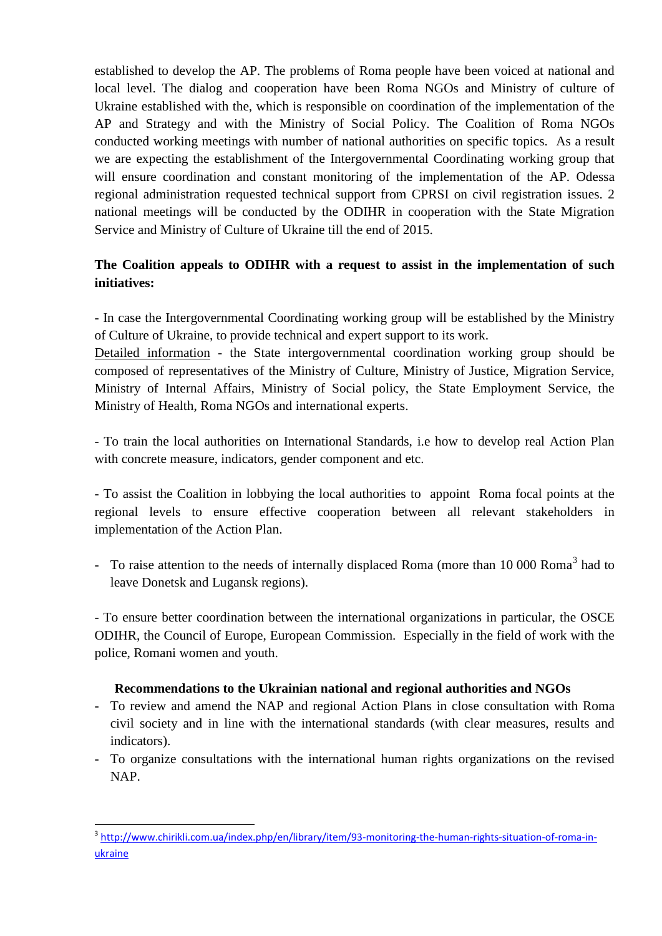established to develop the AP. The problems of Roma people have been voiced at national and local level. The dialog and cooperation have been Roma NGOs and Ministry of culture of Ukraine established with the, which is responsible on coordination of the implementation of the AP and Strategy and with the Ministry of Social Policy. The Coalition of Roma NGOs conducted working meetings with number of national authorities on specific topics. As a result we are expecting the establishment of the Intergovernmental Coordinating working group that will ensure coordination and constant monitoring of the implementation of the AP. Odessa regional administration requested technical support from CPRSI on civil registration issues. 2 national meetings will be conducted by the ODIHR in cooperation with the State Migration Service and Ministry of Culture of Ukraine till the end of 2015.

## **The Coalition appeals to ODIHR with a request to assist in the implementation of such initiatives:**

- In case the Intergovernmental Coordinating working group will be established by the Ministry of Culture of Ukraine, to provide technical and expert support to its work.

Detailed information - the State intergovernmental coordination working group should be composed of representatives of the Ministry of Culture, Ministry of Justice, Migration Service, Ministry of Internal Affairs, Ministry of Social policy, the State Employment Service, the Ministry of Health, Roma NGOs and international experts.

- To train the local authorities on International Standards, i.e how to develop real Action Plan with concrete measure, indicators, gender component and etc.

- To assist the Coalition in lobbying the local authorities to appoint Roma focal points at the regional levels to ensure effective cooperation between all relevant stakeholders in implementation of the Action Plan.

- To raise attention to the needs of internally displaced Roma (more than 10 000 Roma<sup>[3](#page-1-0)</sup> had to leave Donetsk and Lugansk regions).

- To ensure better coordination between the international organizations in particular, the OSCE ODIHR, the Council of Europe, European Commission. Especially in the field of work with the police, Romani women and youth.

## **Recommendations to the Ukrainian national and regional authorities and NGOs**

- To review and amend the NAP and regional Action Plans in close consultation with Roma civil society and in line with the international standards (with clear measures, results and indicators).
- To organize consultations with the international human rights organizations on the revised NAP.

<span id="page-1-0"></span><sup>&</sup>lt;sup>3</sup> [http://www.chirikli.com.ua/index.php/en/library/item/93-monitoring-the-human-rights-situation-of-roma-in](http://www.chirikli.com.ua/index.php/en/library/item/93-monitoring-the-human-rights-situation-of-roma-in-ukraine)[ukraine](http://www.chirikli.com.ua/index.php/en/library/item/93-monitoring-the-human-rights-situation-of-roma-in-ukraine)